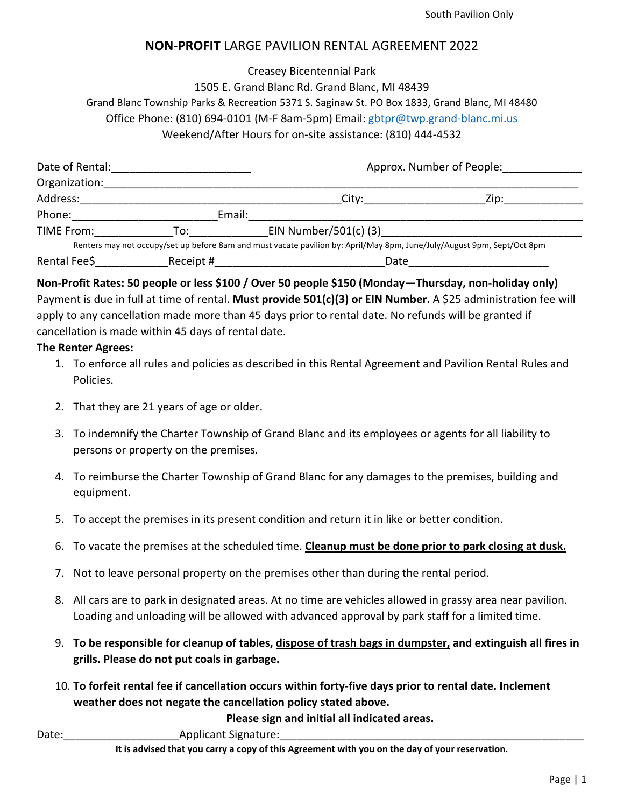## **NON‐PROFIT** LARGE PAVILION RENTAL AGREEMENT 2022

Creasey Bicentennial Park 1505 E. Grand Blanc Rd. Grand Blanc, MI 48439 Grand Blanc Township Parks & Recreation 5371 S. Saginaw St. PO Box 1833, Grand Blanc, MI 48480 Office Phone: (810) 694‐0101 (M‐F 8am‐5pm) Email: gbtpr@twp.grand‐blanc.mi.us Weekend/After Hours for on‐site assistance: (810) 444‐4532

| Date of Rental: |           | Approx. Number of People:                                                                                               |      |
|-----------------|-----------|-------------------------------------------------------------------------------------------------------------------------|------|
| Organization:   |           |                                                                                                                         |      |
| Address:        |           | City:                                                                                                                   | Zip: |
| Phone:          | Email:    |                                                                                                                         |      |
| TIME From:      | To:       | EIN Number/501(c) $(3)$                                                                                                 |      |
|                 |           | Renters may not occupy/set up before 8am and must vacate pavilion by: April/May 8pm, June/July/August 9pm, Sept/Oct 8pm |      |
| Rental Fee\$    | Receipt # | Date                                                                                                                    |      |

**Non‐Profit Rates: 50 people or less \$100 / Over 50 people \$150 (Monday—Thursday, non‐holiday only)**  Payment is due in full at time of rental. Must provide 501(c)(3) or EIN Number. A \$25 administration fee will apply to any cancellation made more than 45 days prior to rental date. No refunds will be granted if cancellation is made within 45 days of rental date.

## **The Renter Agrees:**

- 1. To enforce all rules and policies as described in this Rental Agreement and Pavilion Rental Rules and Policies.
- 2. That they are 21 years of age or older.
- 3. To indemnify the Charter Township of Grand Blanc and its employees or agents for all liability to persons or property on the premises.
- 4. To reimburse the Charter Township of Grand Blanc for any damages to the premises, building and equipment.
- 5. To accept the premises in its present condition and return it in like or better condition.
- 6. To vacate the premises at the scheduled time. **Cleanup must be done prior to park closing at dusk.**
- 7. Not to leave personal property on the premises other than during the rental period.
- 8. All cars are to park in designated areas. At no time are vehicles allowed in grassy area near pavilion. Loading and unloading will be allowed with advanced approval by park staff for a limited time.
- 9. **To be responsible for cleanup of tables, dispose of trash bags in dumpster, and extinguish all fires in grills. Please do not put coals in garbage.**
- 10. **To forfeit rental fee if cancellation occurs within forty‐five days prior to rental date. Inclement weather does not negate the cancellation policy stated above.**

**Please sign and initial all indicated areas.** 

Date: The Contract Contract Applicant Signature:

**It is advised that you carry a copy of this Agreement with you on the day of your reservation.**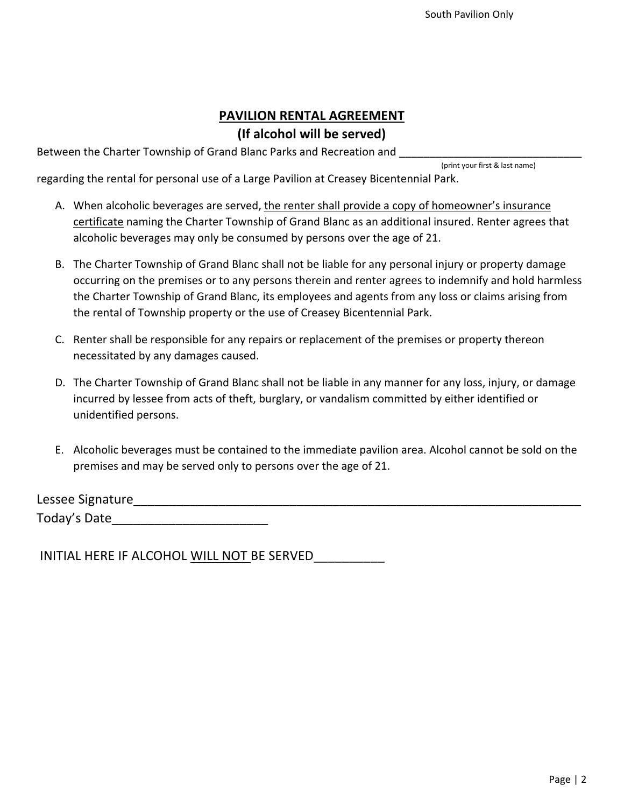## **PAVILION RENTAL AGREEMENT (If alcohol will be served)**

Between the Charter Township of Grand Blanc Parks and Recreation and

(print your first & last name)

regarding the rental for personal use of a Large Pavilion at Creasey Bicentennial Park.

- A. When alcoholic beverages are served, the renter shall provide a copy of homeowner's insurance certificate naming the Charter Township of Grand Blanc as an additional insured. Renter agrees that alcoholic beverages may only be consumed by persons over the age of 21.
- B. The Charter Township of Grand Blanc shall not be liable for any personal injury or property damage occurring on the premises or to any persons therein and renter agrees to indemnify and hold harmless the Charter Township of Grand Blanc, its employees and agents from any loss or claims arising from the rental of Township property or the use of Creasey Bicentennial Park.
- C. Renter shall be responsible for any repairs or replacement of the premises or property thereon necessitated by any damages caused.
- D. The Charter Township of Grand Blanc shall not be liable in any manner for any loss, injury, or damage incurred by lessee from acts of theft, burglary, or vandalism committed by either identified or unidentified persons.
- E. Alcoholic beverages must be contained to the immediate pavilion area. Alcohol cannot be sold on the premises and may be served only to persons over the age of 21.

Lessee Signature Today's Date\_\_\_\_\_\_\_\_\_\_\_\_\_\_\_\_\_\_\_\_\_\_

INITIAL HERE IF ALCOHOL WILL NOT BE SERVED\_\_\_\_\_\_\_\_\_\_